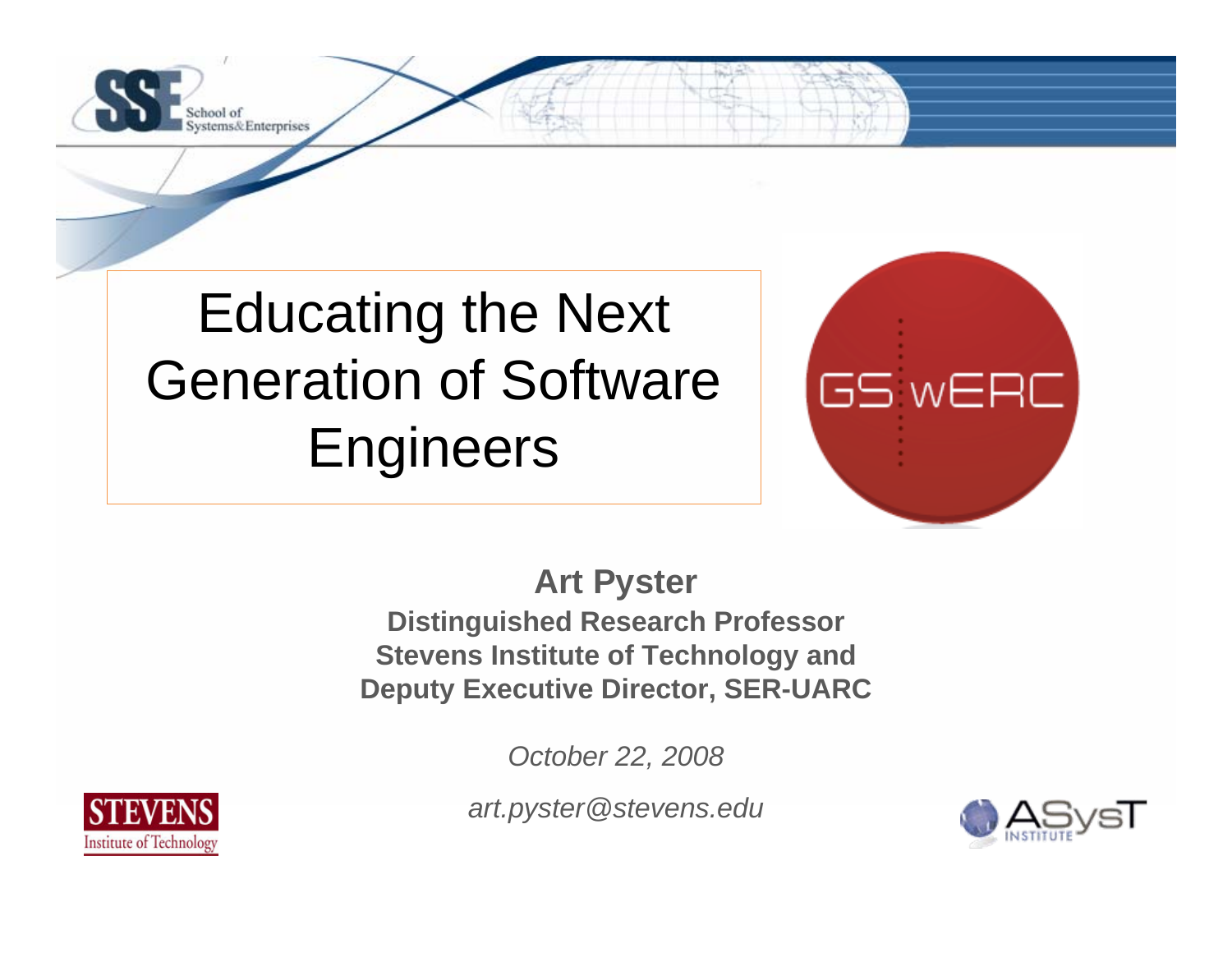

Educating the Next Generation of Software **Engineers** 



**Art Pyster Distinguished Research Professor Stevens Institute of Technology and Deputy Executive Director, SER-UARC**

*October 22, 2008*

*art.pyster@stevens.edu*



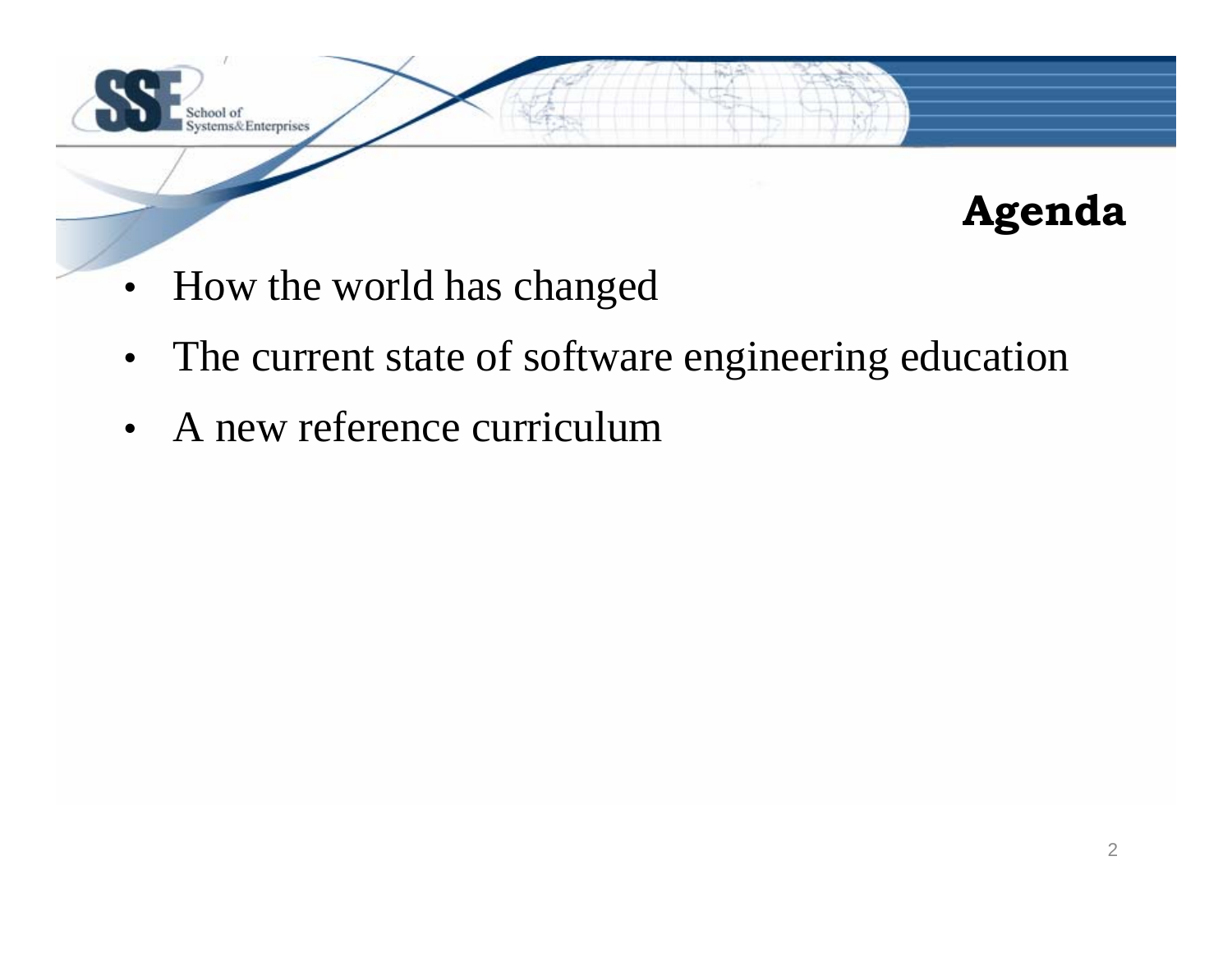

## **Agenda**

- How the world has changed
- The current state of software engineering education
- A new reference curriculum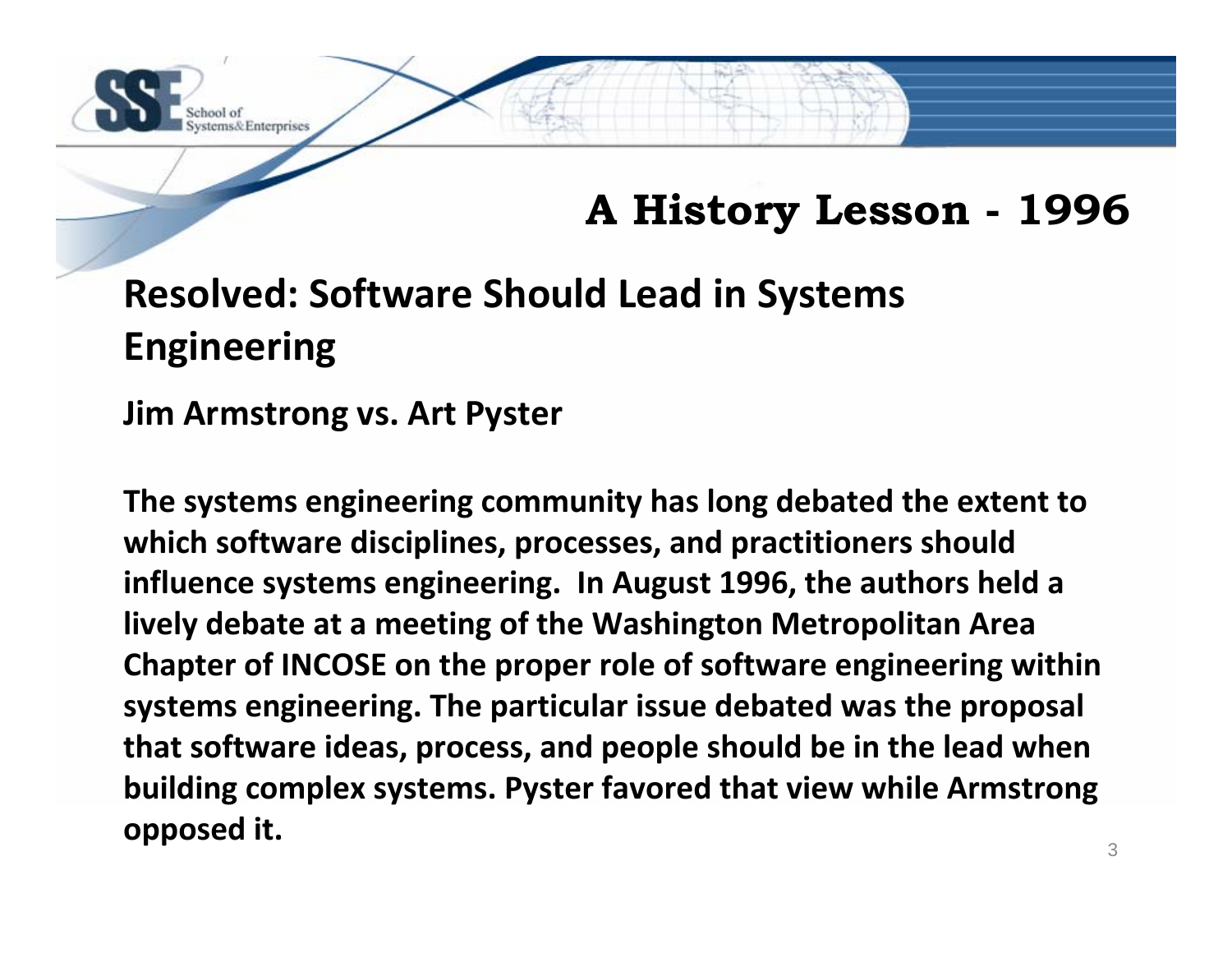

## **A History Lesson - 1996**

## **Resolved: Software Should Lead in Systems Engineering**

**Jim Armstrong vs. Art Pyster**

**The systems engineering community has long debated the extent to which software disciplines, processes, and practitioners should influence systems engineering. In August 1996, the authors held <sup>a</sup> lively debate at <sup>a</sup> meeting of the Washington Metropolitan Area Chapter of INCOSE on the proper role of software engineering within systems engineering. The particular issue debated was the proposal that software ideas, process, and people should be in the lead when building complex systems. Pyster favored that view while Armstrong opposed it.**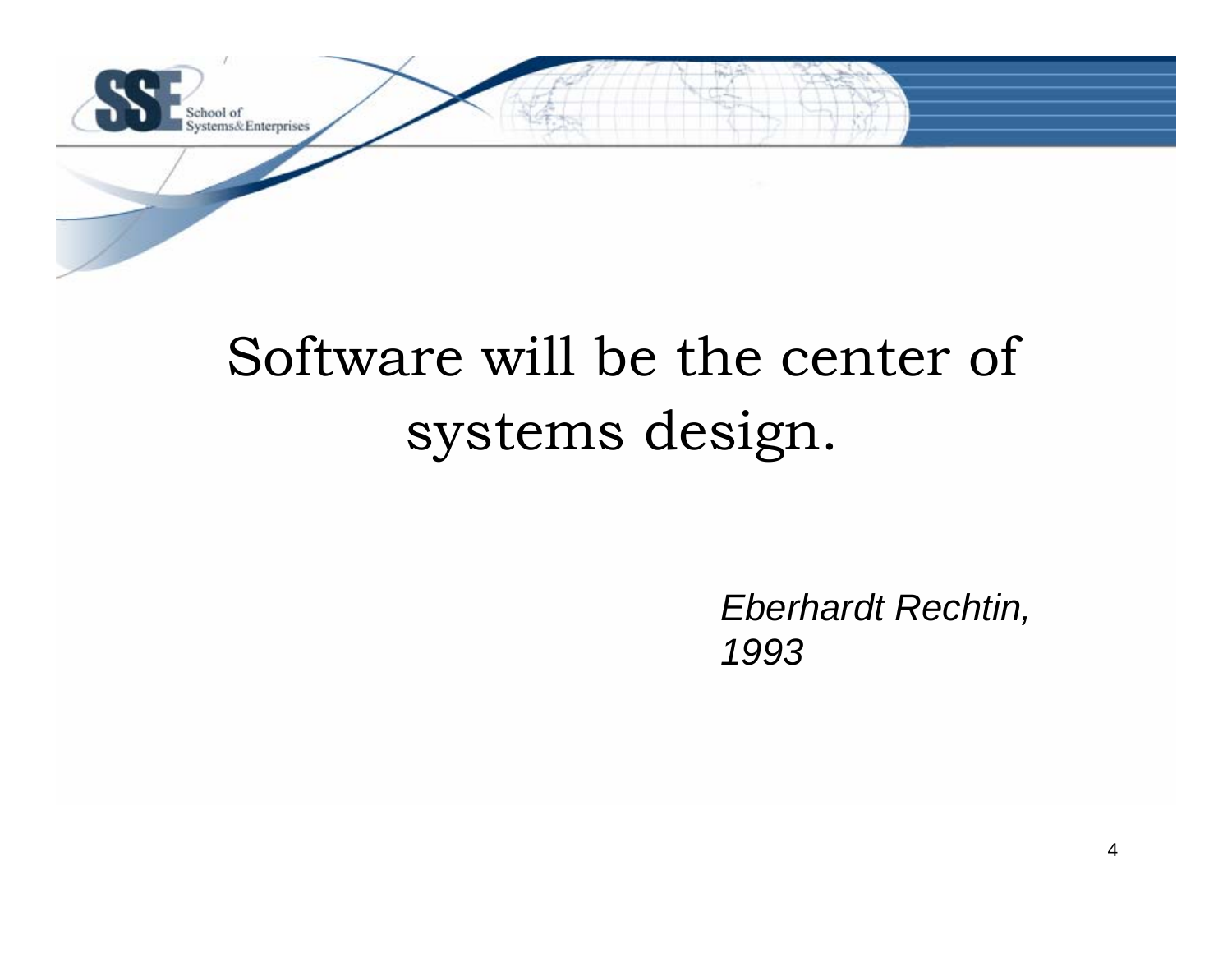

# Software will be the center of systems design.

*Eberhardt Rechtin, 1993*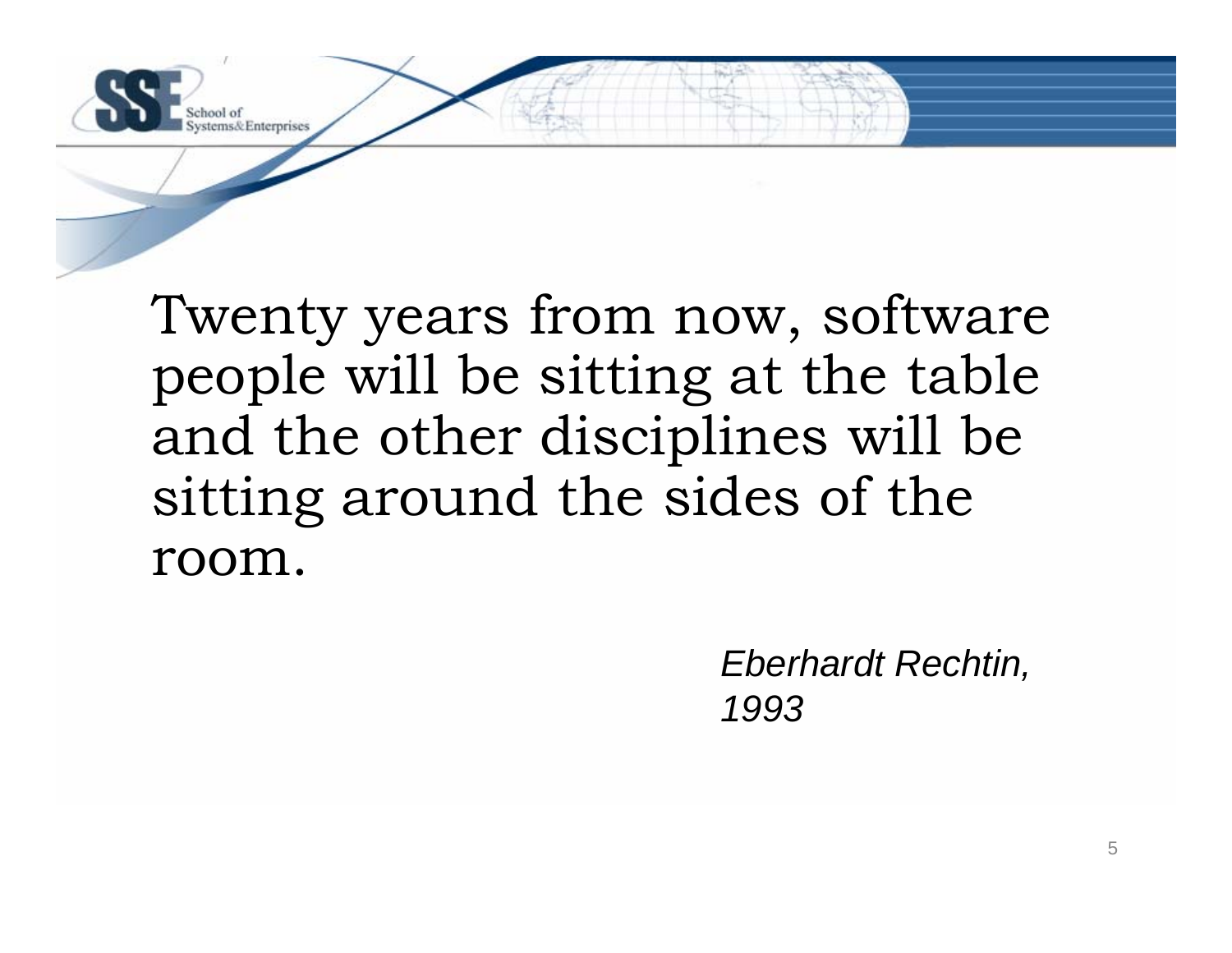

Twenty years from now, software people will be sitting at the table and the other disciplines will be sitting around the sides of the room.

> *Eberhardt Rechtin, 1993*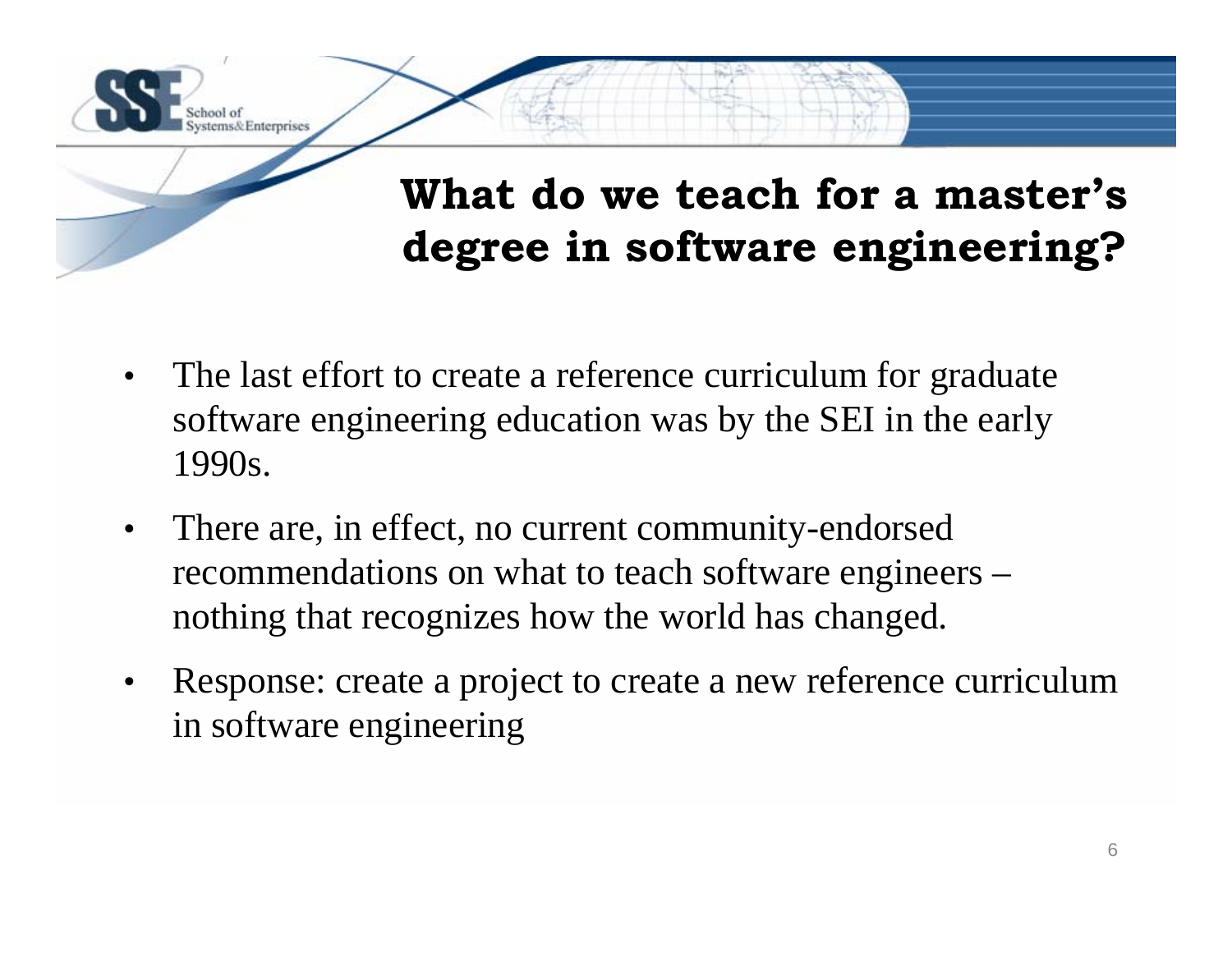

## **What do we teach for a master's degree in software engineering?**

- • The last effort to create a reference curriculum for graduate software engineering education was by the SEI in the early 1990s.
- • There are, in effect, no current community-endorsed recommendations on what to teach software engineers – nothing that recognizes how the world has changed.
- • Response: create a project to create a new reference curriculum in software engineering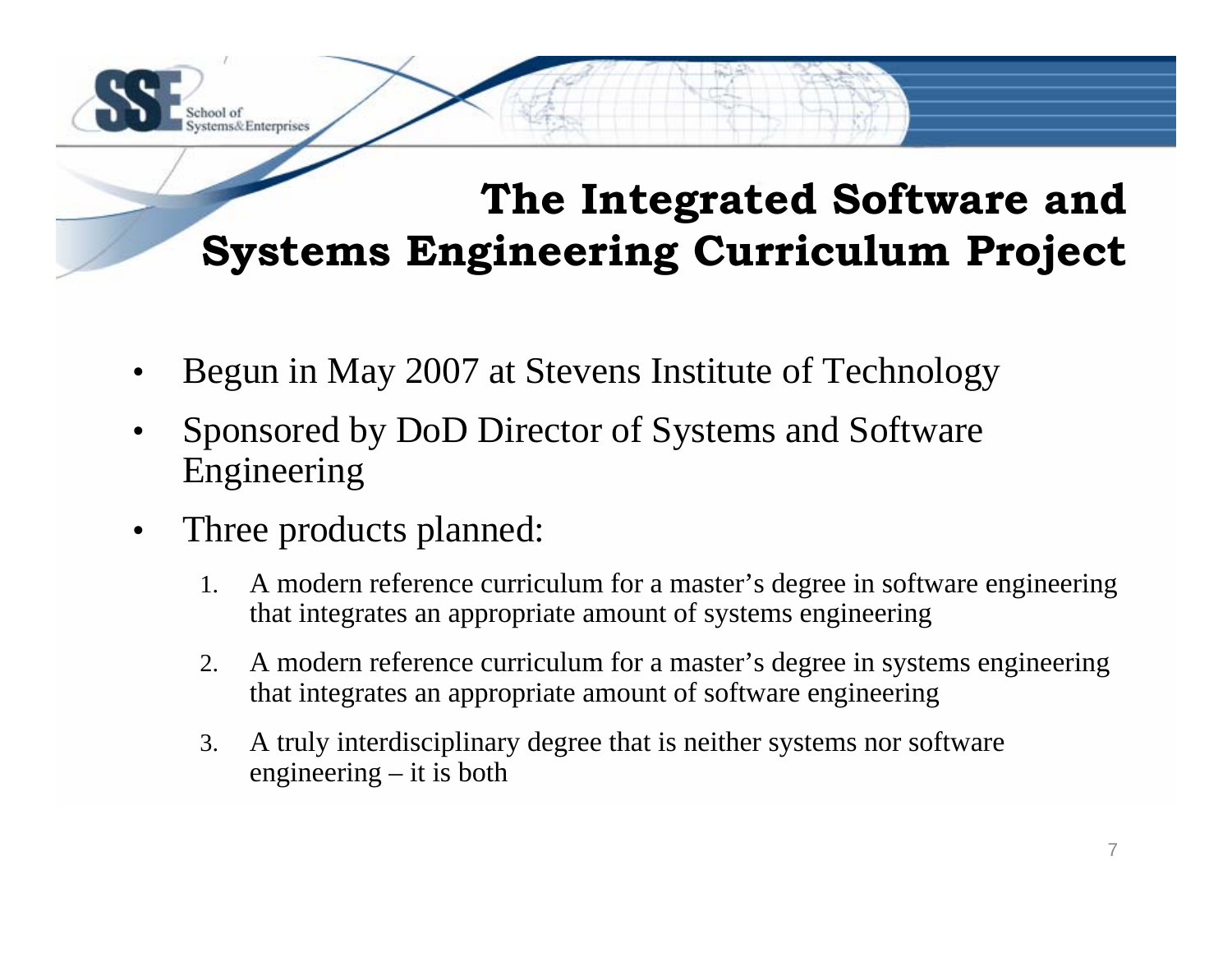## **The Integrated Software and Systems Engineering Curriculum Project**

- •Begun in May 2007 at Stevens Institute of Technology
- • Sponsored by DoD Director of Systems and Software Engineering
- •Three products planned:

aol of

stems& Enterprises

- 1. A modern reference curriculum for a master's degree in software engineering that integrates an appropriate amount of systems engineering
- 2. A modern reference curriculum for a master's degree in systems engineering that integrates an appropriate amount of software engineering
- 3. A truly interdisciplinary degree that is neither systems nor software engineering – it is both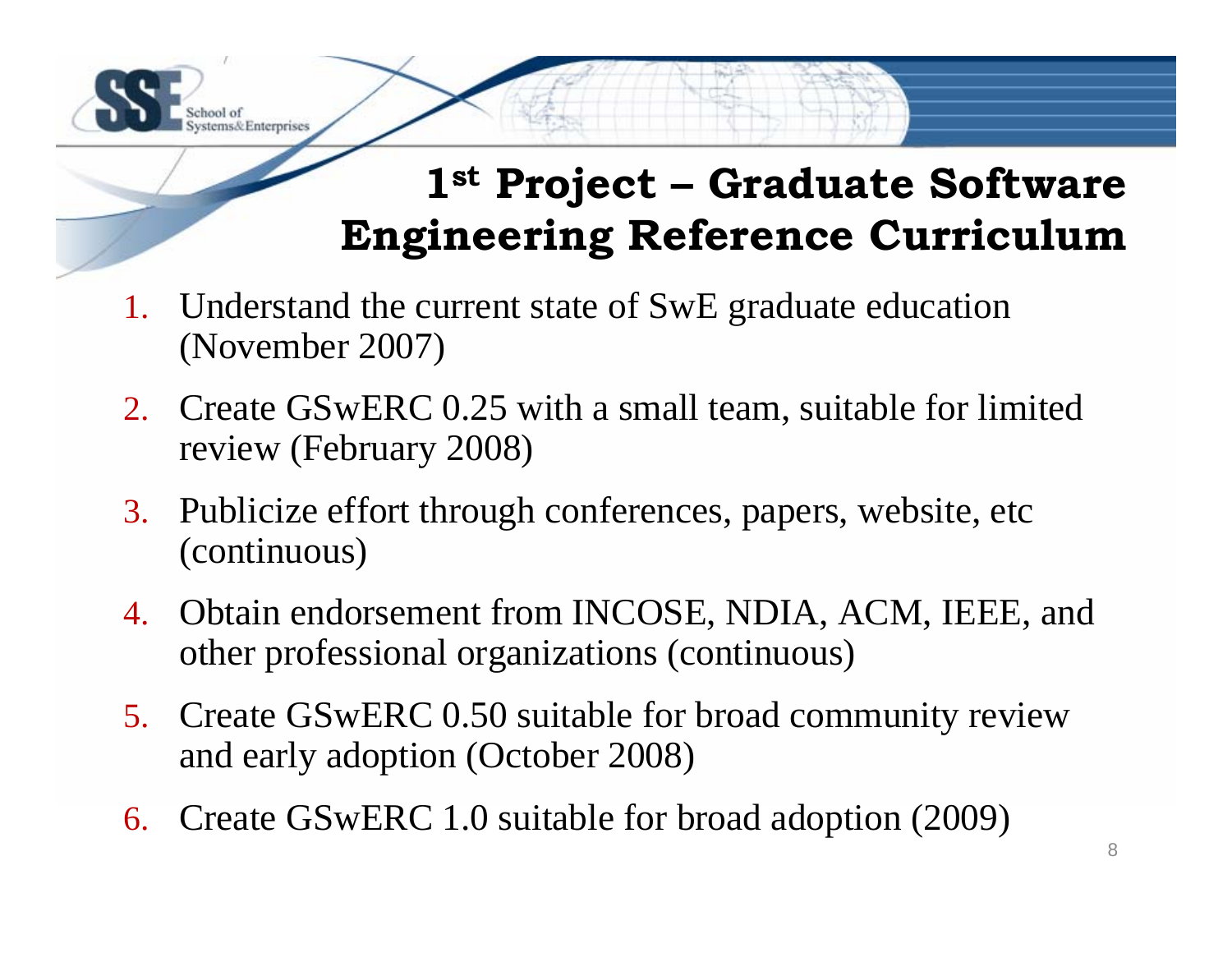

1. Understand the current state of SwE graduate education (November 2007)

ems& Enterprises

- 2. Create GSwERC 0.25 with a small team, suitable for limited review (February 2008)
- 3. Publicize effort through conferences, papers, website, etc (continuous)
- 4. Obtain endorsement from INCOSE, NDIA, ACM, IEEE, and other professional organizations (continuous)
- 5. Create GSwERC 0.50 suitable for broad community review and early adoption (October 2008)
- 6. Create GSwERC 1.0 suitable for broad adoption (2009)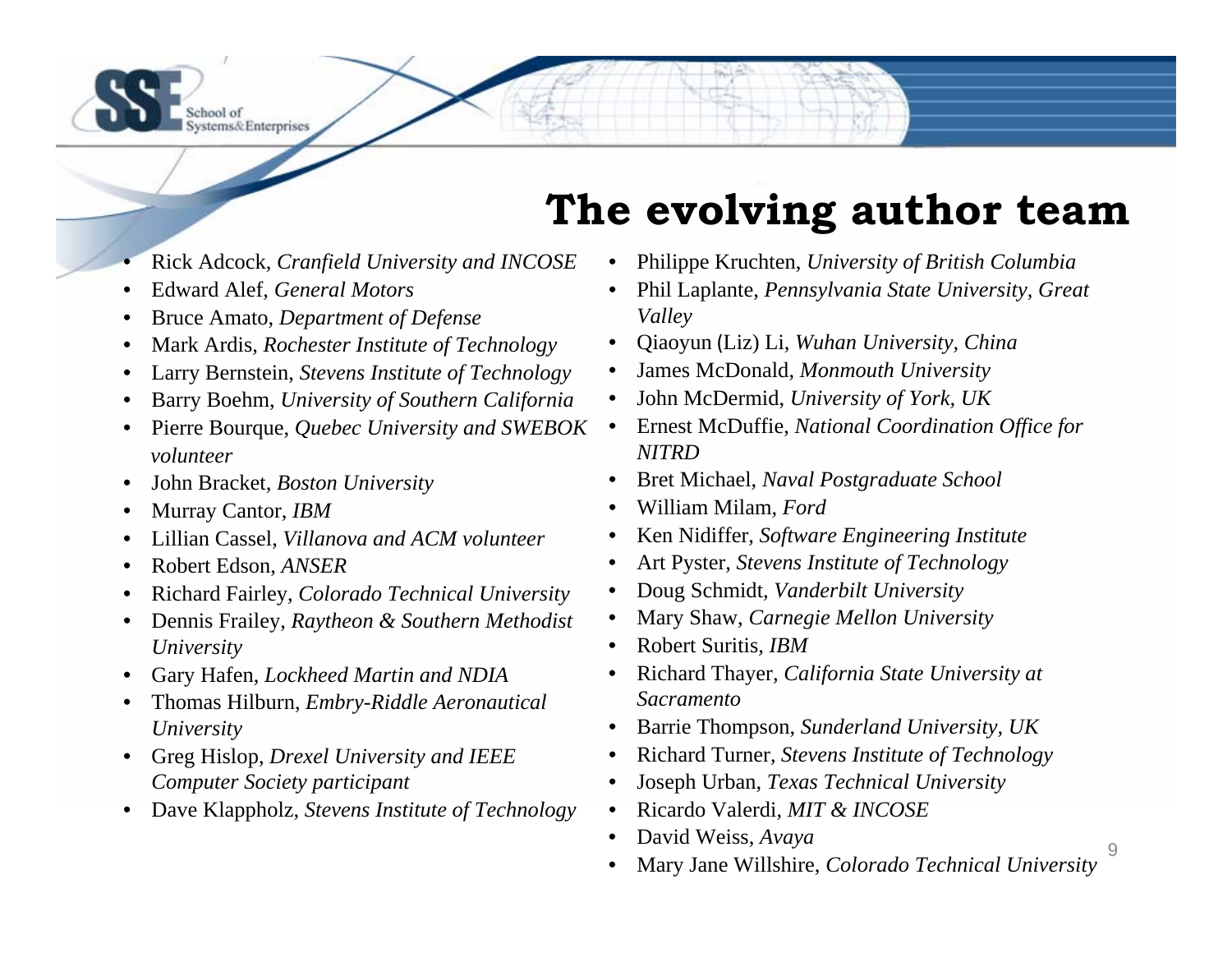

## **The evolving author team**

- •Rick Adcock, *Cranfield University and INCOSE*
- •Edward Alef, *General Motors*
- •Bruce Amato, *Department of Defense*
- •Mark Ardis, *Rochester Institute of Technology*
- •Larry Bernstein, *Stevens Institute of Technology*
- •Barry Boehm, *University of Southern California*
- • Pierre Bourque, *Quebec University and SWEBOK volunteer*
- •John Bracket, *Boston University*
- •Murray Cantor, *IBM*
- •Lillian Cassel, *Villanova and ACM volunteer*
- •Robert Edson, *ANSER*
- •Richard Fairley, *Colorado Technical University*
- • Dennis Frailey, *Raytheon & Southern Methodist University*
- •Gary Hafen, *Lockheed Martin and NDIA*
- • Thomas Hilburn, *Embry-Riddle Aeronautical University*
- $\bullet$  Greg Hislop, *Drexel University and IEEE Computer Society participant*
- $\bullet$ Dave Klappholz, *Stevens Institute of Technology*
- •Philippe Kruchten, *University of British Columbia*
- • Phil Laplante, *Pennsylvania State University, Great Valley*
- •Qiaoyun (Liz) Li, *Wuhan University, China*
- •James McDonald, *Monmouth University*
- •John McDermid, *University of York, UK*
- • Ernest McDuffie, *National Coordination Office for NITRD*
- $\bullet$ Bret Michael, *Naval Postgraduate School*
- •William Milam, *Ford*
- •Ken Nidiffer, *Software Engineering Institute*
- •Art Pyster, *Stevens Institute of Technology*
- •Doug Schmidt, *Vanderbilt University*
- •Mary Shaw, *Carnegie Mellon University*
- •Robert Suritis*, IBM*
- • Richard Thayer*, California State University at Sacramento*
- •Barrie Thompson, *Sunderland University, UK*
- •Richard Turner, *Stevens Institute of Technology*
- •Joseph Urban, *Texas Technical University*
- •Ricardo Valerdi, *MIT & INCOSE*
- $\bullet$ David Weiss, *Avaya*
- •Mary Jane Willshire, *Colorado Technical University*
- 9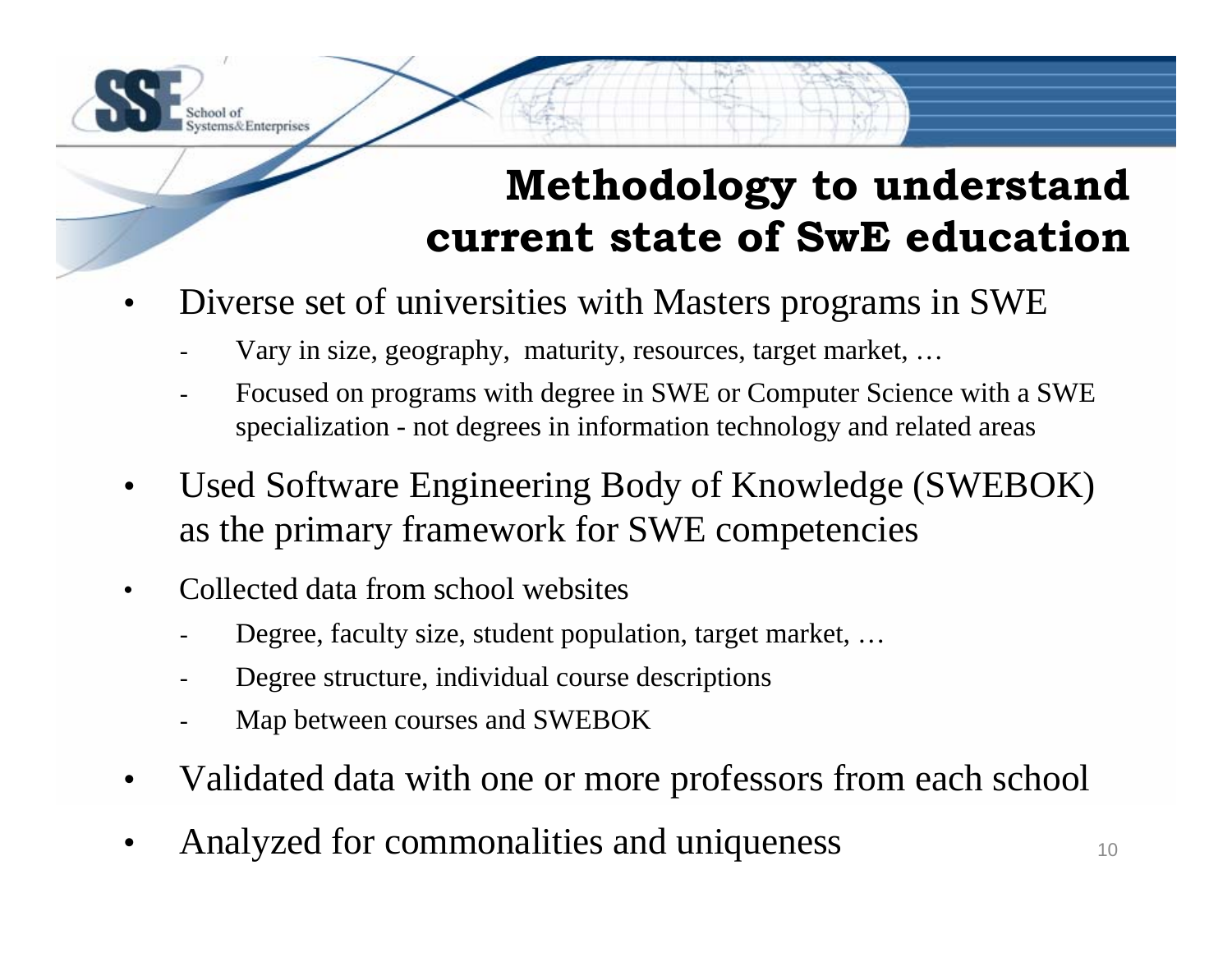## **Methodology to understand current state of SwE education**

- • Diverse set of universities with Masters programs in SWE
	- Vary in size, geography, maturity, resources, target market, …
	- Focused on programs with degree in SWE or Computer Science with a SWE specialization - not degrees in information technology and related areas
- • Used Software Engineering Body of Knowledge (SWEBOK) as the primary framework for SWE competencies
- •Collected data from school websites

ems& Enterprises

- Degree, faculty size, student population, target market, …
- Degree structure, individual course descriptions
- Map between courses and SWEBOK
- •Validated data with one or more professors from each school
- •Analyzed for commonalities and uniqueness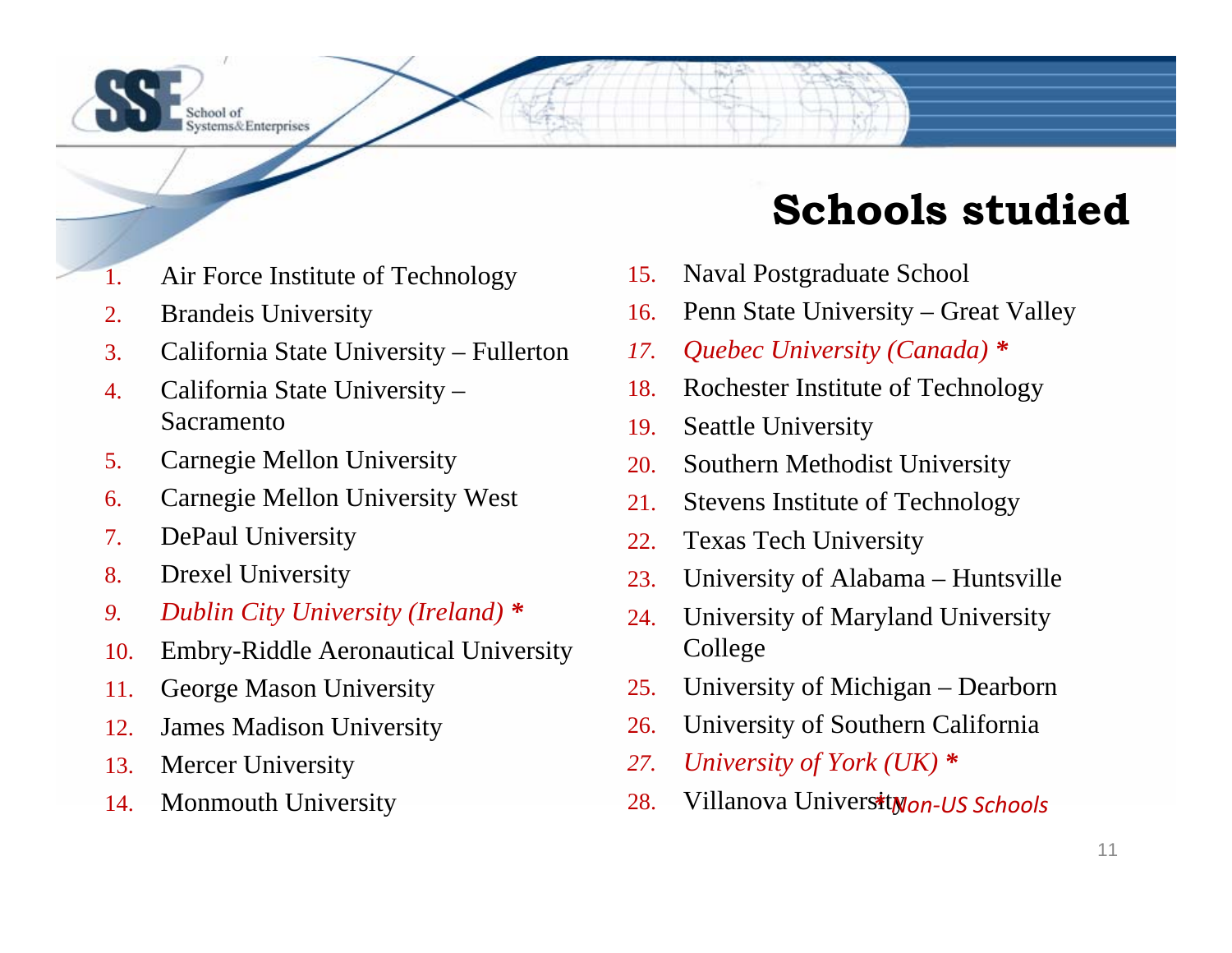

## **Schools studied**

- 1.Air Force Institute of Technology
- 2.Brandeis University
- 3.California State University – Fullerton
- 4. California State University – Sacramento
- 5.Carnegie Mellon University
- 6.Carnegie Mellon University West
- 7.DePaul University
- 8.Drexel University
- *9.Dublin City University (Ireland) \**
- 10.Embry-Riddle Aeronautical University
- 11.George Mason University
- 12.James Madison University
- 13.Mercer University
- 14.Monmouth University
- 15.Naval Postgraduate School
- 16.Penn State University – Great Valley
- *17.Quebec University (Canada) \**
- 18.Rochester Institute of Technology
- 19. Seattle University
- 20.Southern Methodist University
- 21.Stevens Institute of Technology
- 22.Texas Tech University
- 23.University of Alabama – Huntsville
- 24. University of Maryland University College
- 25.University of Michigan – Dearborn
- 26.University of Southern California
- *27.University of York (UK) \**
- 28.Villanova University *\* Non‐US Schools*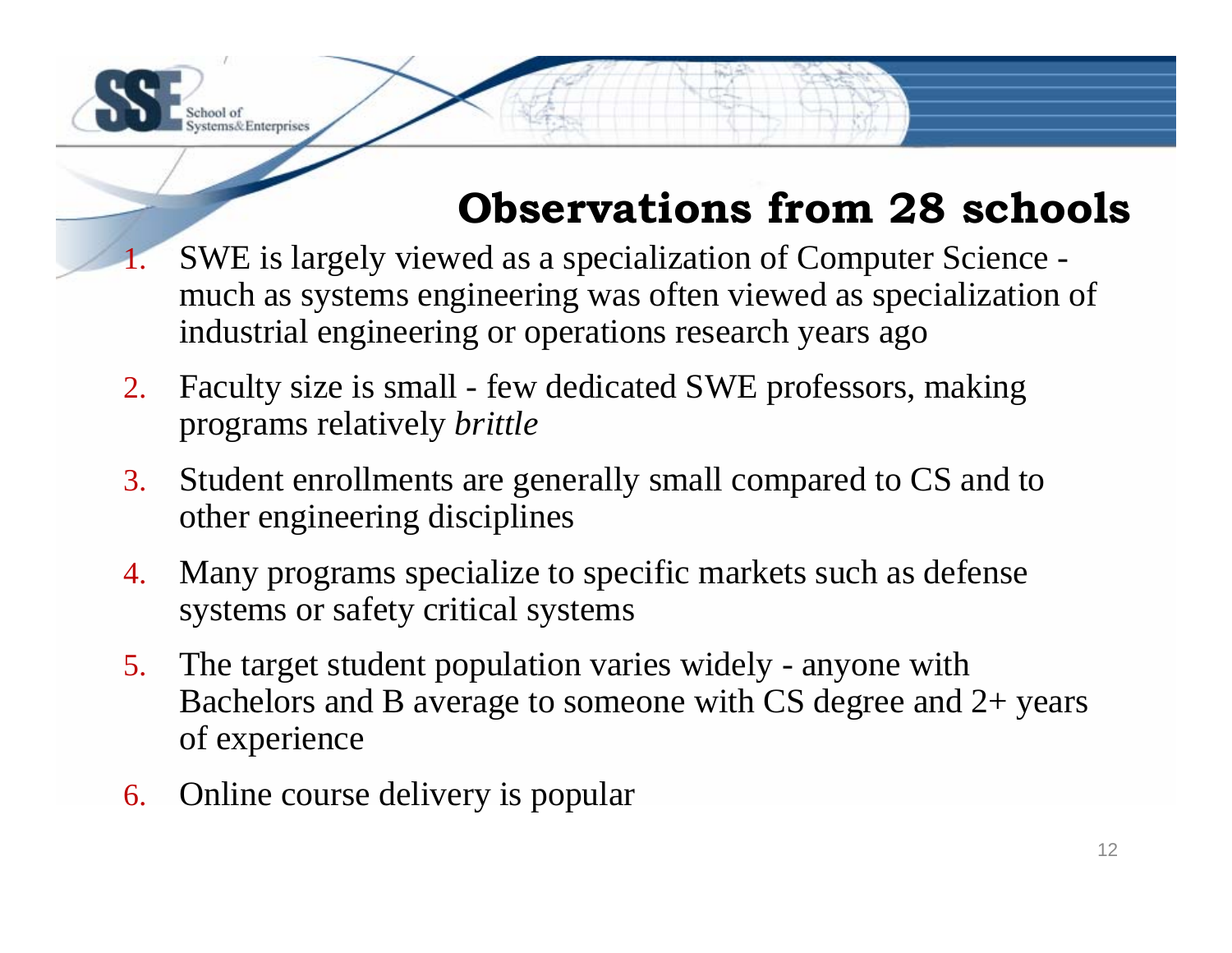# **Observations from 28 schools**

- 1. SWE is largely viewed as a specialization of Computer Science much as systems engineering was often viewed as specialization of industrial engineering or operations research years ago
- 2. Faculty size is small - few dedicated SWE professors, making programs relatively *brittle*
- 3. Student enrollments are generally small compared to CS and to other engineering disciplines
- 4. Many programs specialize to specific markets such as defense systems or safety critical systems
- 5. The target student population varies widely anyone with Bachelors and B average to someone with CS degree and 2+ years of experience
- 6. Online course delivery is popular

stems& Enterprises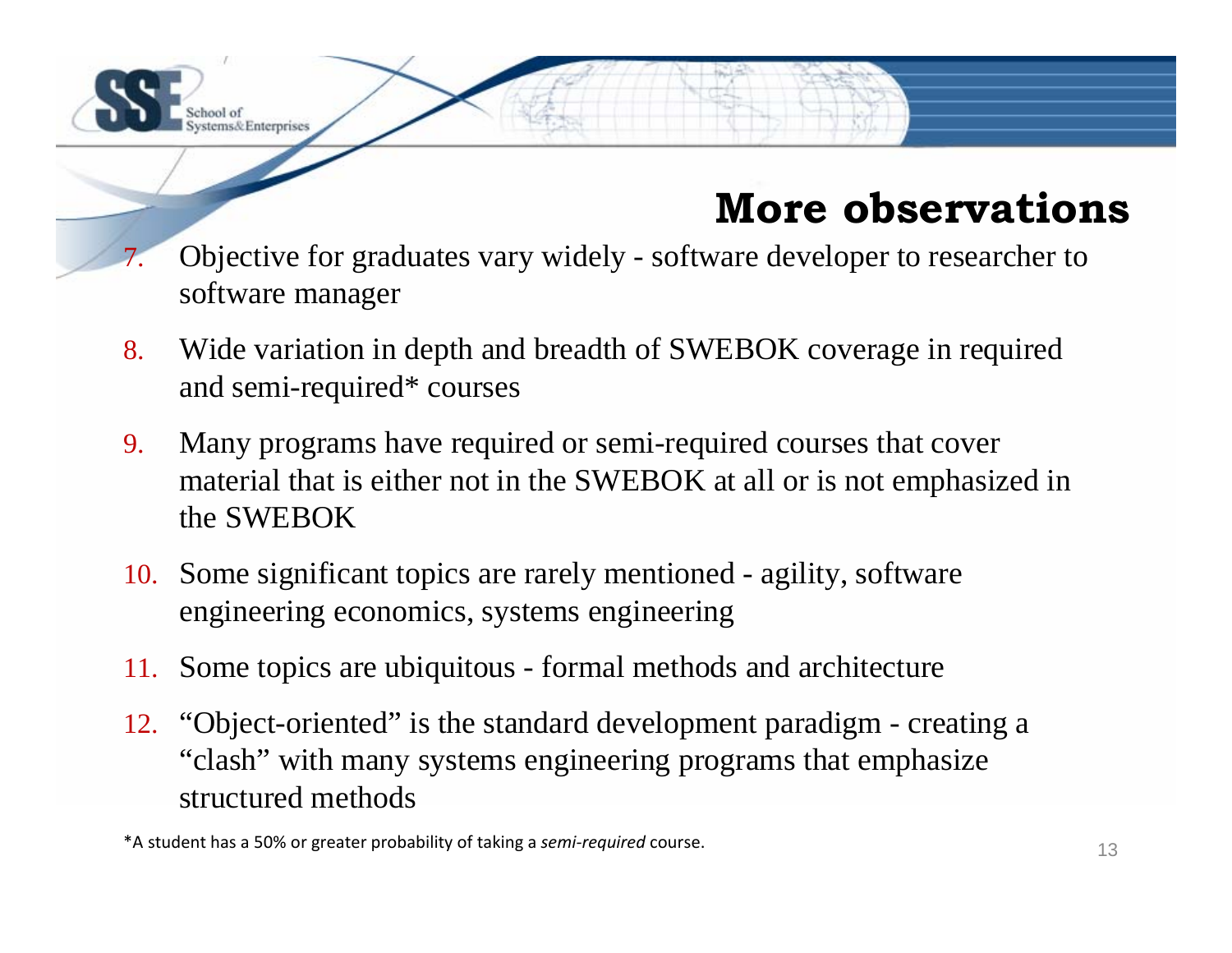

## **More observations**

- 7. Objective for graduates vary widely - software developer to researcher to software manager
- 8. Wide variation in depth and breadth of SWEBOK coverage in required and semi-required\* courses
- 9. Many programs have required or semi-required courses that cover material that is either not in the SWEBOK at all or is not emphasized in the SWEBOK
- 10. Some significant topics are rarely mentioned agility, software engineering economics, systems engineering
- 11. Some topics are ubiquitous formal methods and architecture
- 12. "Object-oriented" is the standard development paradigm creating a "clash" with many systems engineering programs that emphasize structured methods

\*A student has <sup>a</sup> 50% or greater probability of taking <sup>a</sup> *semi‐required* course.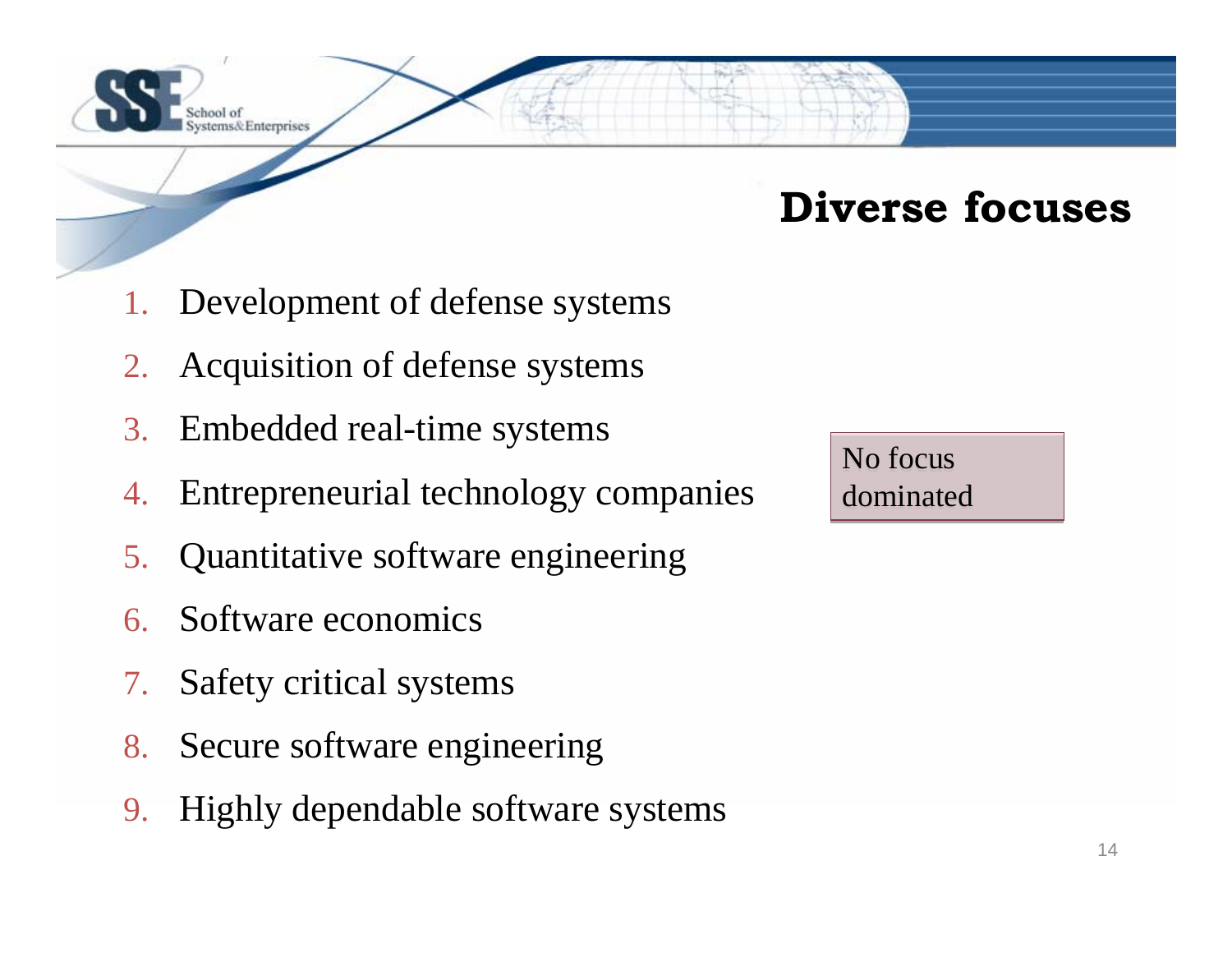

#### **Diverse focuses**

- 1.Development of defense systems
- 2.Acquisition of defense systems
- 3. Embedded real-time systems
- 4.Entrepreneurial technology companies
- 5. Quantitative software engineering
- 6. Software economics
- 7.Safety critical systems
- 8. Secure software engineering
- 9. Highly dependable software systems

No focus dominated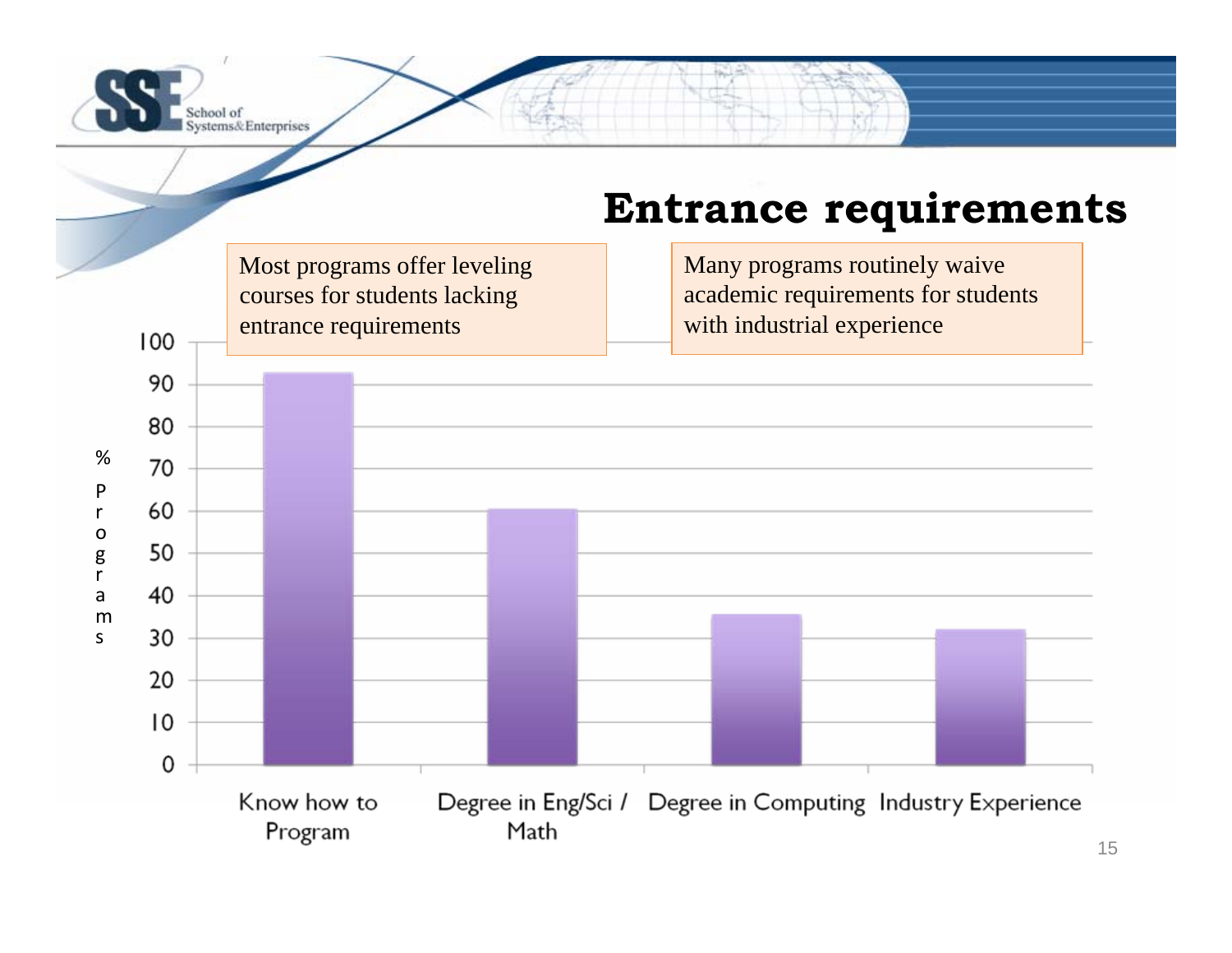

#### **Entrance requirements**

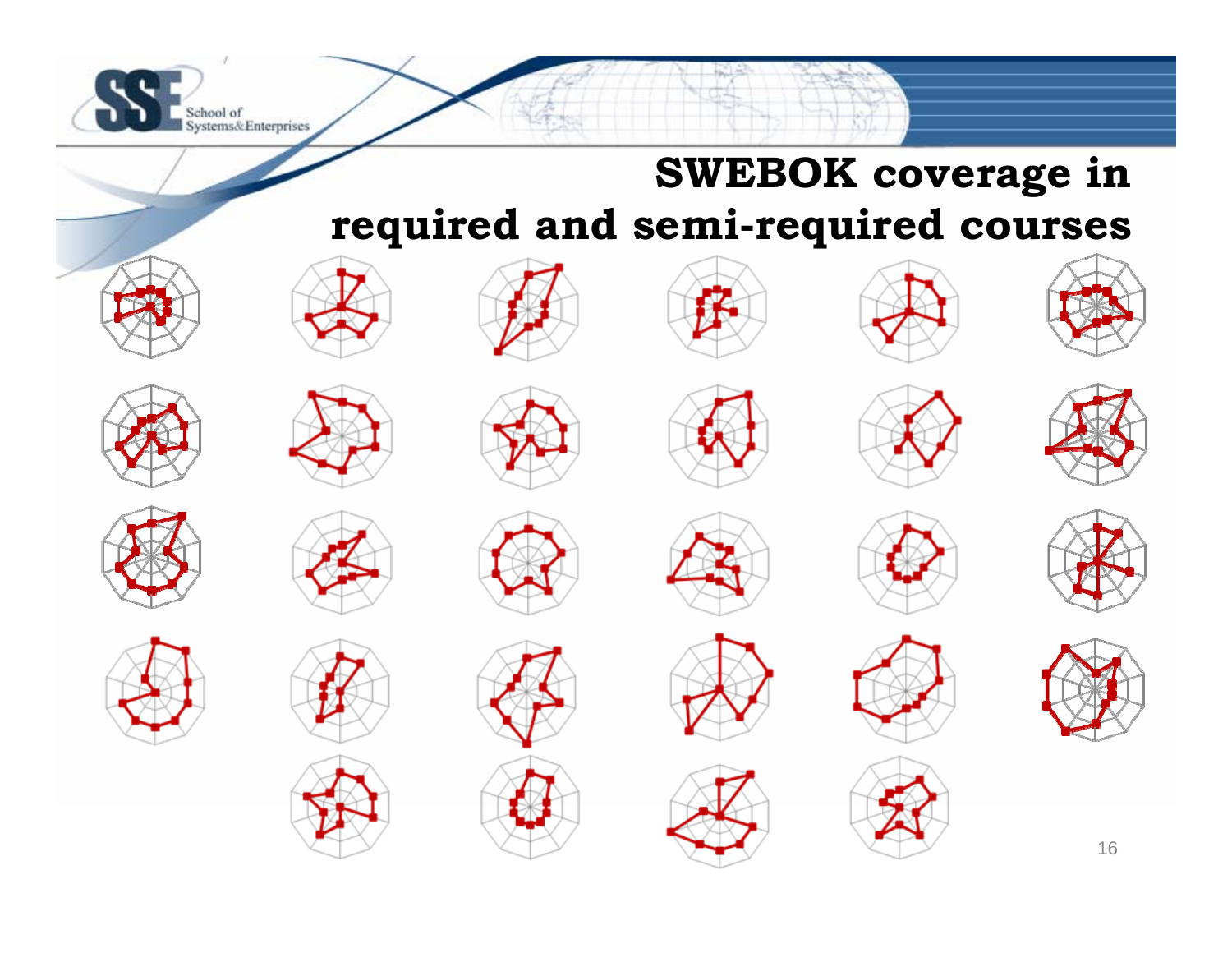

## **SWEBOK coverage in required and semi-required courses**

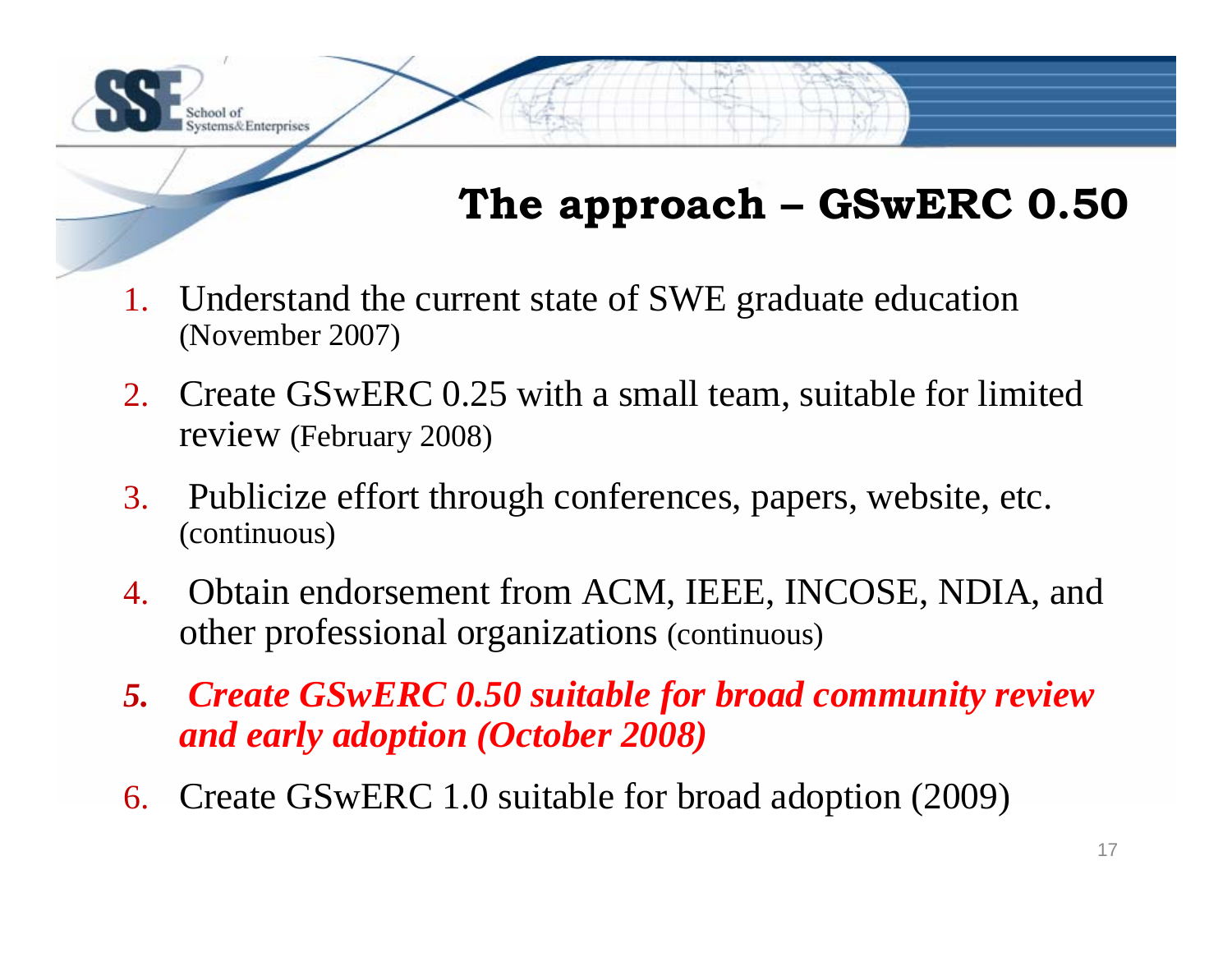## **The approach – GSwERC 0.50**

1. Understand the current state of SWE graduate education (November 2007)

tems& Enterprises

- 2. Create GSwERC 0.25 with a small team, suitable for limited review (February 2008)
- 3. Publicize effort through conferences, papers, website, etc. (continuous)
- 4. Obtain endorsement from ACM, IEEE, INCOSE, NDIA, and other professional organizations (continuous)
- *5. Create GSwERC 0.50 suitable for broad community review and early adoption (October 2008)*
- 6. Create GSwERC 1.0 suitable for broad adoption (2009)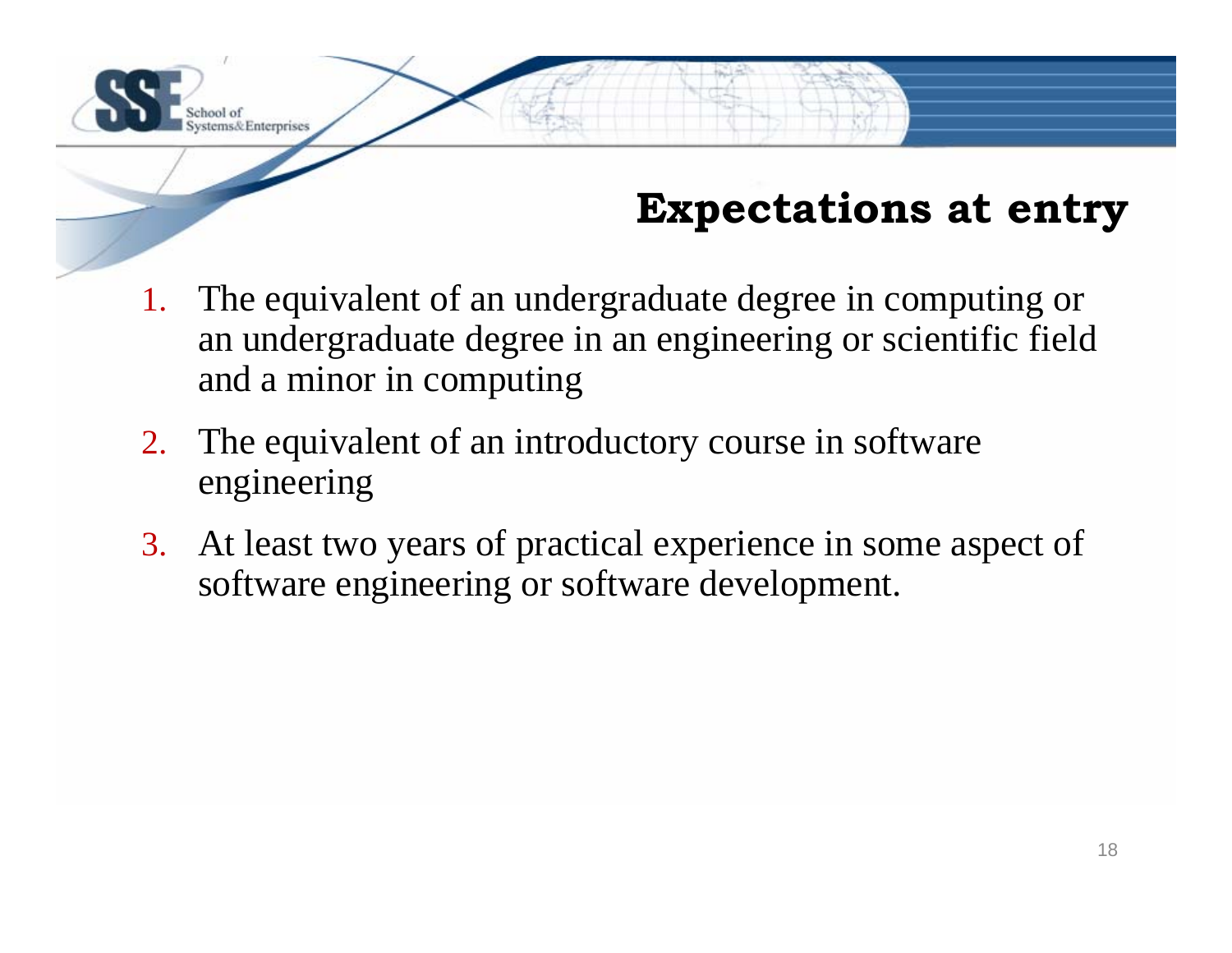## **Expectations at entry**

- 1. The equivalent of an undergraduate degree in computing or an undergraduate degree in an engineering or scientific field and a minor in computing
- 2. The equivalent of an introductory course in software engineering

tems&Enterprises

3. At least two years of practical experience in some aspect of software engineering or software development.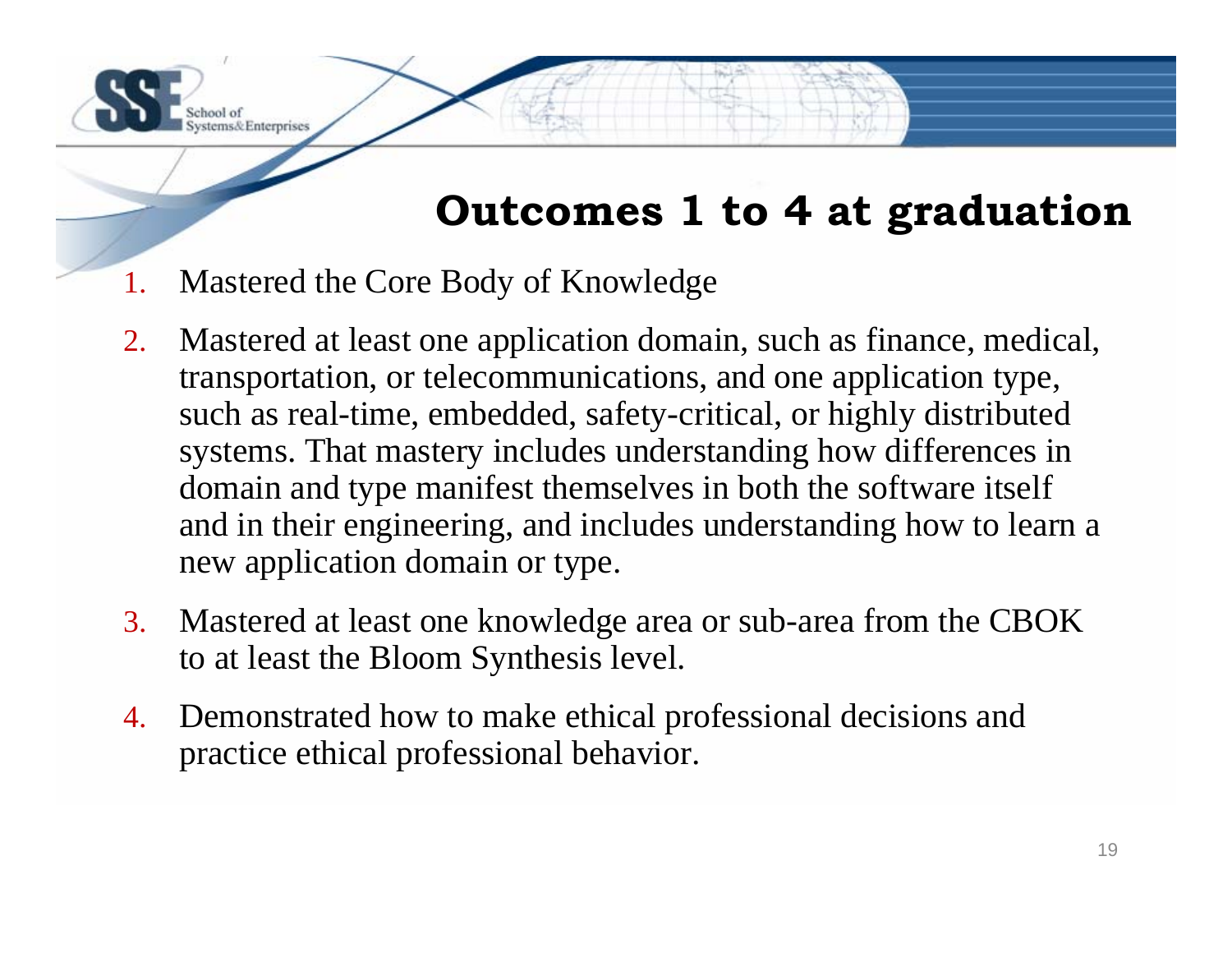### **Outcomes 1 to 4 at graduation**

1.Mastered the Core Body of Knowledge

tems& Enterprises

- 2. Mastered at least one application domain, such as finance, medical, transportation, or telecommunications, and one application type, such as real-time, embedded, safety-critical, or highly distributed systems. That mastery includes understanding how differences in domain and type manifest themselves in both the software itself and in their engineering, and includes understanding how to learn a new application domain or type.
- 3. Mastered at least one knowledge area or sub-area from the CBOK to at least the Bloom Synthesis level.
- 4. Demonstrated how to make ethical professional decisions and practice ethical professional behavior.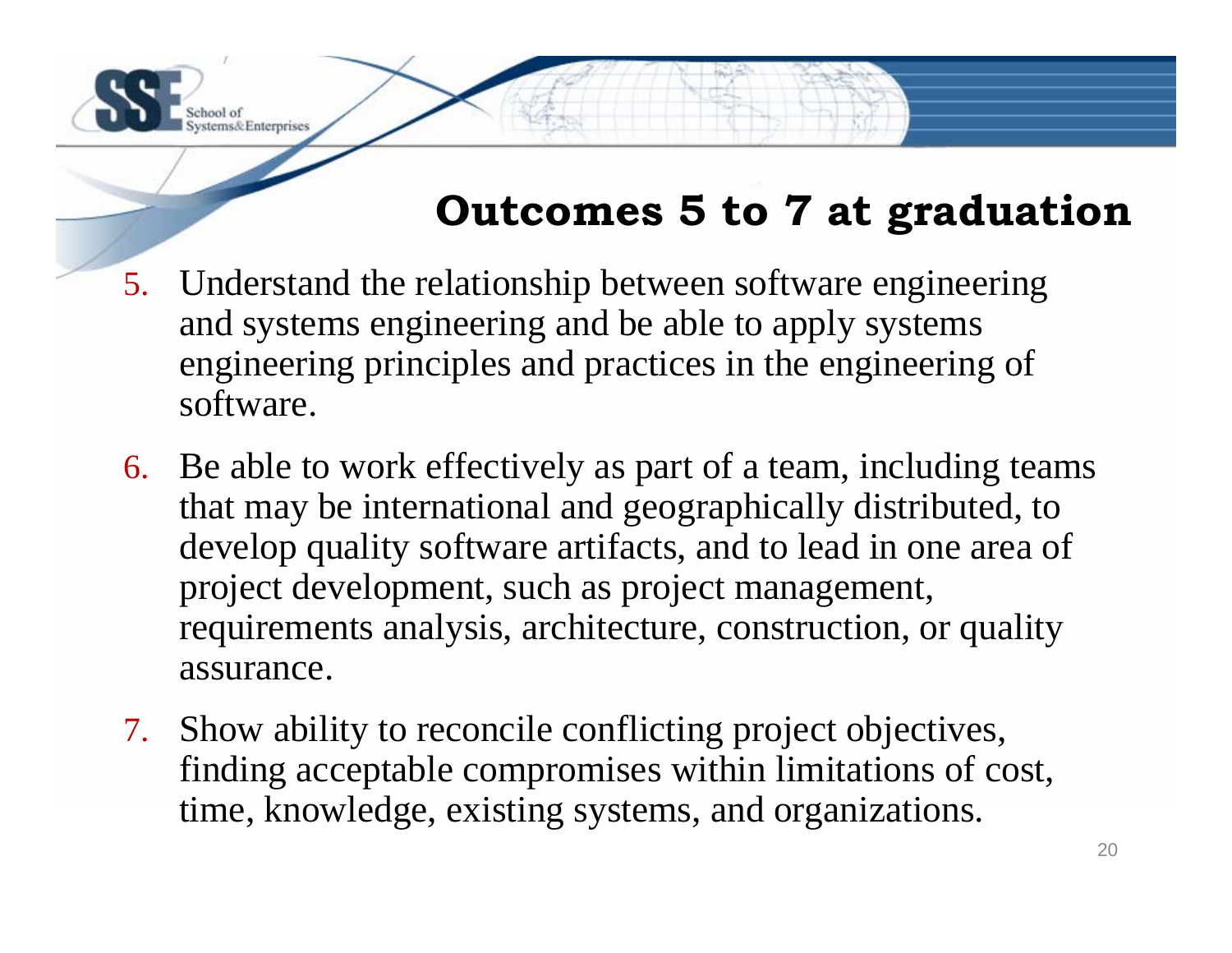## **Outcomes 5 to 7 at graduation**

5. Understand the relationship between software engineering and systems engineering and be able to apply systems engineering principles and practices in the engineering of software.

ms& Enterprises

- 6. Be able to work effectively as part of a team, including teams that may be international and geographically distributed, to develop quality software artifacts, and to lead in one area of project development, such as project management, requirements analysis, architecture, construction, or quality assurance.
- 7. Show ability to reconcile conflicting project objectives, finding acceptable compromises within limitations of cost, time, knowledge, existing systems, and organizations.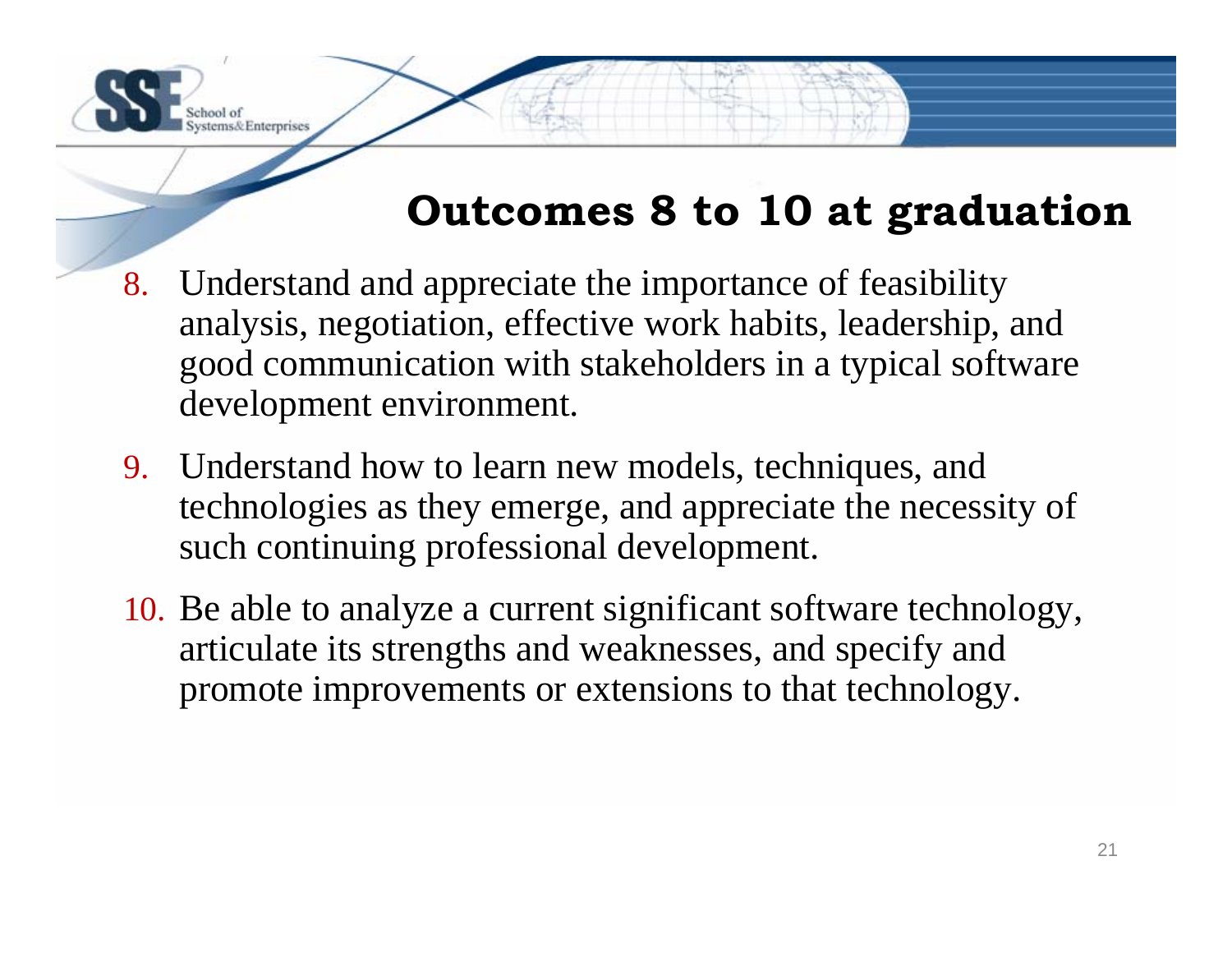## **Outcomes 8 to 10 at graduation**

8. Understand and appreciate the importance of feasibility analysis, negotiation, effective work habits, leadership, and good communication with stakeholders in a typical software development environment.

ms& Enterprises

- 9. Understand how to learn new models, techniques, and technologies as they emerge, and appreciate the necessity of such continuing professional development.
- 10. Be able to analyze a current significant software technology, articulate its strengths and weaknesses, and specify and promote improvements or extensions to that technology.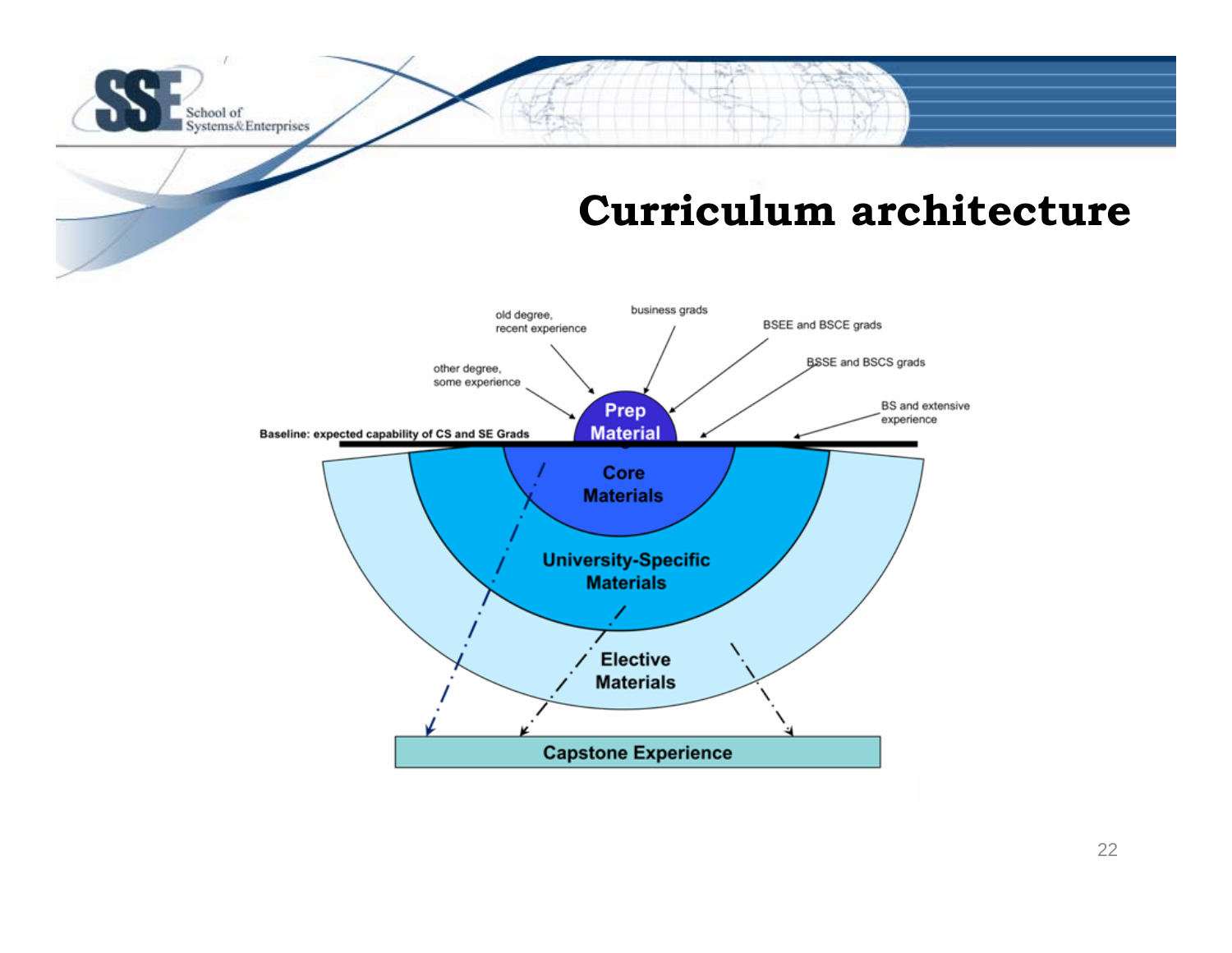#### School of Systems&Enterprises

#### **Curriculum architecture**

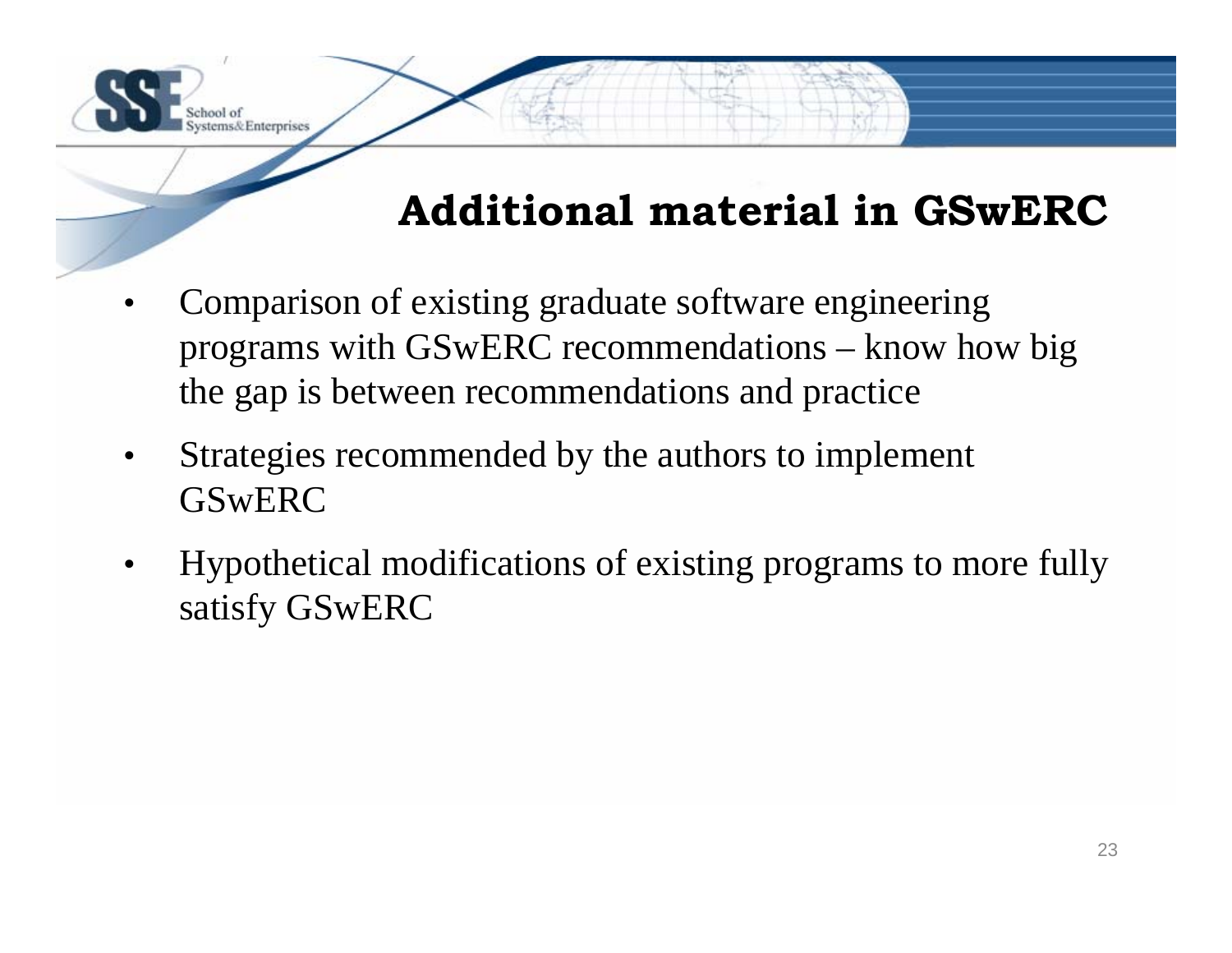## **Additional material in GSwERC**

- • Comparison of existing graduate software engineering programs with GSwERC recommendations – know how big the gap is between recommendations and practice
- • Strategies recommended by the authors to implement **GSwERC**

to loo

stems& Enterprises

• Hypothetical modifications of existing programs to more fully satisfy GSwERC